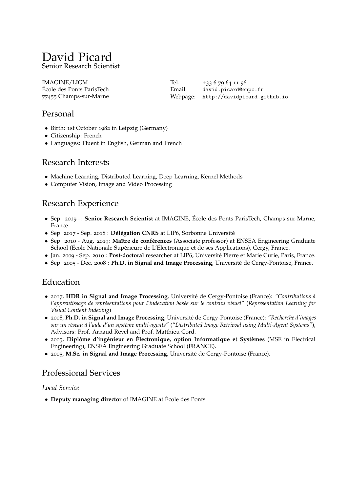## David Picard Senior Research Scientist

[IMAGINE/LIGM](http://imagine-lab.enpc.fr/) École des Ponts ParisTech 77455 Champs-sur-Marne Tel: +33 6 79 64 11 96 Email: [david.picard@enpc.fr](mailto:david.picard@enpc.fr) Webpage: <http://davidpicard.github.io>

# Personal

- Birth: 1st October 1982 in Leipzig (Germany)
- Citizenship: French
- Languages: Fluent in English, German and French

## Research Interests

- Machine Learning, Distributed Learning, Deep Learning, Kernel Methods
- Computer Vision, Image and Video Processing

## Research Experience

- Sep. 2019 -: **Senior Research Scientist** at IMAGINE, École des Ponts ParisTech, Champs-sur-Marne, France.
- Sep. 2017 Sep. 2018 : **Délégation CNRS** at LIP6, Sorbonne Université
- Sep. 2010 Aug. 2019: **Maître de conférences** (Associate professor) at ENSEA Engineering Graduate School (École Nationale Supérieure de L'Électronique et de ses Applications), Cergy, France.
- Jan. 2009 Sep. 2010 : **Post-doctoral** researcher at LIP6, Université Pierre et Marie Curie, Paris, France.
- Sep. 2005 Dec. 2008 : **Ph.D. in Signal and Image Processing**, Université de Cergy-Pontoise, France.

# Education

- 2017, **HDR in Signal and Image Processing**, Université de Cergy-Pontoise (France): *"Contributions à l'apprentissage de représentations pour l'indexation basée sur le contenu visuel"* (*Representation Learning for Visual Content Indexing*)
- 2008, **Ph.D. in Signal and Image Processing**, Université de Cergy-Pontoise (France): *"Recherche d'images sur un réseau à l'aide d'un système multi-agents"* (*"Distributed Image Retrieval using Multi-Agent Systems"*), Advisors: Prof. Arnaud Revel and Prof. Matthieu Cord.
- 2005, **Diplôme d'ingénieur en Électronique, option Informatique et Systèmes** (MSE in Electrical Engineering), ENSEA Engineering Graduate School (FRANCE).
- 2005, **M.Sc. in Signal and Image Processing**, Université de Cergy-Pontoise (France).

## Professional Services

### *Local Service*

• **Deputy managing director** of IMAGINE at École des Ponts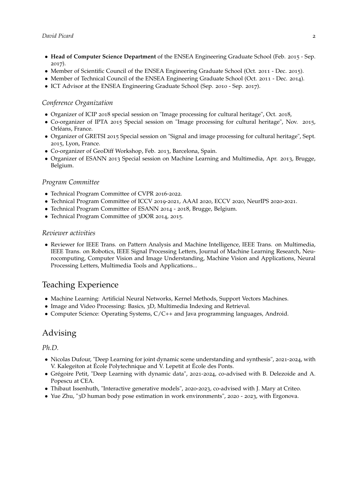- **Head of Computer Science Department** of the ENSEA Engineering Graduate School (Feb. 2015 Sep. 2017).
- Member of Scientific Council of the ENSEA Engineering Graduate School (Oct. 2011 Dec. 2015).
- Member of Technical Council of the ENSEA Engineering Graduate School (Oct. 2011 Dec. 2014).
- ICT Advisor at the ENSEA Engineering Graduate School (Sep. 2010 Sep. 2017).

#### *Conference Organization*

- Organizer of ICIP 2018 special session on "Image processing for cultural heritage", Oct. 2018,
- Co-organizer of IPTA 2015 Special session on "Image processing for cultural heritage", Nov. 2015, Orléans, France.
- Organizer of GRETSI 2015 Special session on "Signal and image processing for cultural heritage", Sept. 2015, Lyon, France.
- Co-organizer of GeoDiff Workshop, Feb. 2013, Barcelona, Spain.
- Organizer of ESANN 2013 Special session on Machine Learning and Multimedia, Apr. 2013, Brugge, Belgium.

#### *Program Committee*

- Technical Program Committee of CVPR 2016-2022.
- Technical Program Committee of ICCV 2019-2021, AAAI 2020, ECCV 2020, NeurIPS 2020-2021.
- Technical Program Committee of ESANN 2014 2018, Brugge, Belgium.
- Technical Program Committee of 3DOR 2014, 2015.

#### *Reviewer activities*

• Reviewer for IEEE Trans. on Pattern Analysis and Machine Intelligence, IEEE Trans. on Multimedia, IEEE Trans. on Robotics, IEEE Signal Processing Letters, Journal of Machine Learning Research, Neurocomputing, Computer Vision and Image Understanding, Machine Vision and Applications, Neural Processing Letters, Multimedia Tools and Applications...

## Teaching Experience

- Machine Learning: Artificial Neural Networks, Kernel Methods, Support Vectors Machines.
- Image and Video Processing: Basics, 3D, Multimedia Indexing and Retrieval.
- Computer Science: Operating Systems, C/C++ and Java programming languages, Android.

## Advising

### *Ph.D.*

- Nicolas Dufour, "Deep Learning for joint dynamic scene understanding and synthesis", 2021-2024, with V. Kalegeiton at École Polytechnique and V. Lepetit at École des Ponts.
- Grégoire Petit, "Deep Learning with dynamic data", 2021-2024, co-advised with B. Delezoide and A. Popescu at CEA.
- Thibaut Issenhuth, "Interactive generative models", 2020-2023, co-advised with J. Mary at Criteo.
- Yue Zhu, "3D human body pose estimation in work environments", 2020 2023, with Ergonova.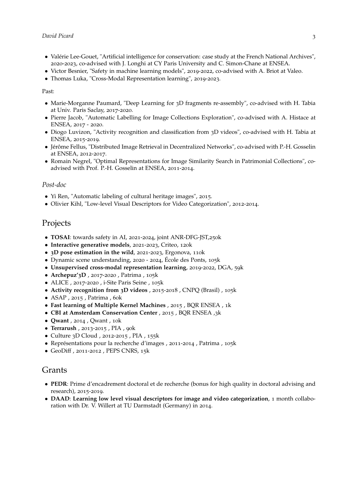- Valérie Lee-Gouet, "Artificial intelligence for conservation: case study at the French National Archives", 2020-2023, co-advised with J. Longhi at CY Paris University and C. Simon-Chane at ENSEA.
- Victor Besnier, "Safety in machine learning models", 2019-2022, co-advised with A. Briot at Valeo.
- Thomas Luka, "Cross-Modal Representation learning", 2019-2023.

#### Past:

- Marie-Morganne Paumard, "Deep Learning for 3D fragments re-assembly", co-advised with H. Tabia at Univ. Paris Saclay, 2017-2020.
- Pierre Jacob, "Automatic Labelling for Image Collections Exploration", co-advised with A. Histace at ENSEA, 2017 - 2020.
- Diogo Luvizon, "Activity recognition and classification from 3D videos", co-advised with H. Tabia at ENSEA, 2015-2019.
- Jérôme Fellus, "Distributed Image Retrieval in Decentralized Networks", co-advised with P.-H. Gosselin at ENSEA, 2012-2017.
- Romain Negrel, "Optimal Representations for Image Similarity Search in Patrimonial Collections", coadvised with Prof. P.-H. Gosselin at ENSEA, 2011-2014.

#### *Post-doc*

- Yi Ren, "Automatic labeling of cultural heritage images", 2015.
- Olivier Kihl, "Low-level Visual Descriptors for Video Categorization", 2012-2014.

### Projects

- **TOSAI**: towards safety in AI, 2021-2024, joint ANR-DFG-JST,250k
- **Interactive generative models**, 2021-2023, Criteo, 120k
- **3D pose estimation in the wild**, 2021-2023, Ergonova, 110k
- Dynamic scene understanding, 2020 2024, École des Ponts, 105k
- **Unsupervised cross-modal representation learning**, 2019-2022, DGA, 59k
- **Archepuz'3D** , 2017-2020 , Patrima , 105k
- ALICE , 2017-2020 , i-Site Paris Seine , 105k
- **Activity recognition from 3D videos** , 2015-2018 , CNPQ (Brasil) , 105k
- ASAP , 2015 , Patrima , 60k
- **Fast learning of Multiple Kernel Machines** , 2015 , BQR ENSEA , 1k
- **CBI at Amsterdam Conservation Center** , 2015 , BQR ENSEA ,3k
- **Qwant** , 2014 , Qwant , 10k
- **Terrarush** , 2013-2015 , PIA , 90k
- Culture 3D Cloud , 2012-2015 , PIA , 155k
- Représentations pour la recherche d'images , 2011-2014 , Patrima , 105k
- GeoDiff , 2011-2012 , PEPS CNRS, 15k

### Grants

- **PEDR**: Prime d'encadrement doctoral et de recherche (bonus for high quality in doctoral advising and research), 2015-2019.
- **DAAD**: **Learning low level visual descriptors for image and video categorization**, 1 month collaboration with Dr. V. Willert at TU Darmstadt (Germany) in 2014.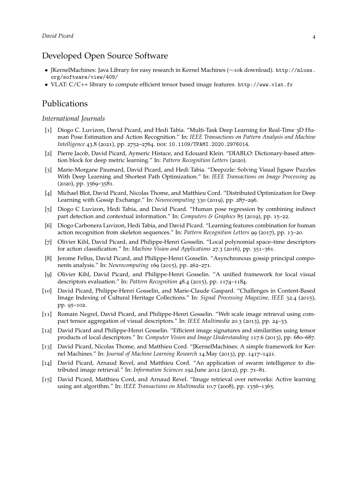## Developed Open Source Software

- JKernelMachines: Java Library for easy research in Kernel Machines (∼10k download). [http://mloss.](http://mloss.org/software/view/409/) [org/software/view/409/](http://mloss.org/software/view/409/)
- VLAT: C/C++ library to compute efficient tensor based image features. <http://www.vlat.fr>

### Publications

### *International Journals*

- [1] Diogo C. Luvizon, David Picard, and Hedi Tabia. "Multi-Task Deep Learning for Real-Time 3D Human Pose Estimation and Action Recognition." In: *IEEE Transactions on Pattern Analysis and Machine Intelligence* 43.8 (2021), pp. 2752–2764. doi: [10.1109/TPAMI.2020.2976014](https://doi.org/10.1109/TPAMI.2020.2976014).
- [2] Pierre Jacob, David Picard, Aymeric Histace, and Edouard Klein. "DIABLO: Dictionary-based attention block for deep metric learning." In: *Pattern Recognition Letters* (2020).
- [3] Marie-Morgane Paumard, David Picard, and Hedi Tabia. "Deepzzle: Solving Visual Jigsaw Puzzles With Deep Learning and Shortest Path Optimization." In: *IEEE Transactions on Image Processing* 29 (2020), pp. 3569–3581.
- [4] Michael Blot, David Picard, Nicolas Thome, and Matthieu Cord. "Distributed Optimization for Deep Learning with Gossip Exchange." In: *Neurocomputing* 330 (2019), pp. 287–296.
- [5] Diogo C Luvizon, Hedi Tabia, and David Picard. "Human pose regression by combining indirect part detection and contextual information." In: *Computers & Graphics* 85 (2019), pp. 15–22.
- [6] Diogo Carbonera Luvizon, Hedi Tabia, and David Picard. "Learning features combination for human action recognition from skeleton sequences." In: *Pattern Recognition Letters* 99 (2017), pp. 13–20.
- [7] Olivier Kihl, David Picard, and Philippe-Henri Gosselin. "Local polynomial space–time descriptors for action classification." In: *Machine Vision and Applications* 27.3 (2016), pp. 351–361.
- [8] Jerome Fellus, David Picard, and Philippe-Henri Gosselin. "Asynchronous gossip principal components analysis." In: *Neurocomputing* 169 (2015), pp. 262–271.
- [9] Olivier Kihl, David Picard, and Philippe-Henri Gosselin. "A unified framework for local visual descriptors evaluation." In: *Pattern Recognition* 48.4 (2015), pp. 1174–1184.
- [10] David Picard, Philippe-Henri Gosselin, and Marie-Claude Gaspard. "Challenges in Content-Based Image Indexing of Cultural Heritage Collections." In: *Signal Processing Magazine, IEEE* 32.4 (2015), pp. 95–102.
- [11] Romain Negrel, David Picard, and Philippe-Henri Gosselin. "Web scale image retrieval using compact tensor aggregation of visual descriptors." In: *IEEE Multimedia* 20.3 (2013), pp. 24–33.
- [12] David Picard and Philippe-Henri Gosselin. "Efficient image signatures and similarities using tensor products of local descriptors." In: *Computer Vision and Image Understanding* 117.6 (2013), pp. 680–687.
- [13] David Picard, Nicolas Thome, and Matthieu Cord. "JKernelMachines: A simple framework for Kernel Machines." In: *Journal of Machine Learning Research* 14.May (2013), pp. 1417–1421.
- [14] David Picard, Arnaud Revel, and Matthieu Cord. "An application of swarm intelligence to distributed image retrieval." In: *Information Sciences* 192.June 2012 (2012), pp. 71–81.
- [15] David Picard, Matthieu Cord, and Arnaud Revel. "Image retrieval over networks: Active learning using ant algorithm." In: *IEEE Transactions on Multimedia* 10.7 (2008), pp. 1356–1365.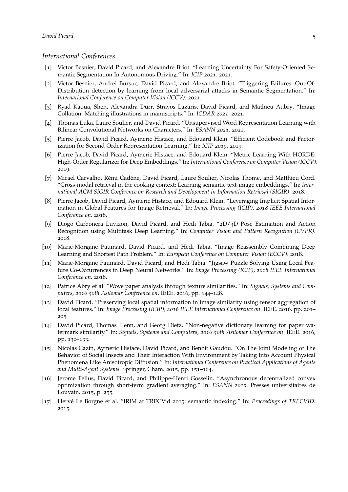#### *International Conferences*

- [1] Victor Besnier, David Picard, and Alexandre Briot. "Learning Uncertainty For Safety-Oriented Semantic Segmentation In Autonomous Driving." In: *ICIP 2021*. 2021.
- [2] Victor Besnier, Andrei Bursuc, David Picard, and Alexandre Briot. "Triggering Failures: Out-Of-Distribution detection by learning from local adversarial attacks in Semantic Segmentation." In: *International Conference on Computer Vision (ICCV)*. 2021.
- [3] Ryad Kaoua, Shen, Alexandra Durr, Stravos Lazaris, David Picard, and Mathieu Aubry. "Image Collation: Matching illustrations in manuscripts." In: *ICDAR 2021*. 2021.
- [4] Thomas Luka, Laure Soulier, and David Picard. "Unsupervised Word Representation Learning with Bilinear Convolutional Networks on Characters." In: *ESANN 2021*. 2021.
- [5] Pierre Jacob, David Picard, Aymeric Histace, and Edouard Klein. "Efficient Codebook and Factorization for Second Order Representation Learning." In: *ICIP 2019*. 2019.
- [6] Pierre Jacob, David Picard, Aymeric Histace, and Edouard Klein. "Metric Learning With HORDE: High-Order Regularizer for Deep Embeddings." In: *International Conference on Computer Vision (ICCV)*. 2019.
- [7] Micael Carvalho, Rémi Cadène, David Picard, Laure Soulier, Nicolas Thome, and Matthieu Cord. "Cross-modal retrieval in the cooking context: Learning semantic text-image embeddings." In: *International ACM SIGIR Conference on Research and Development in Information Retrieval (SIGIR)*. 2018.
- [8] Pierre Jacob, David Picard, Aymeric Histace, and Edouard Klein. "Leveraging Implicit Spatial Information in Global Features for Image Retrieval." In: *Image Processing (ICIP), 2018 IEEE International Conference on*. 2018.
- [9] Diogo Carbonera Luvizon, David Picard, and Hedi Tabia. "2D/3D Pose Estimation and Action Recognition using Multitask Deep Learning." In: *Computer Vision and Pattern Recognition (CVPR)*. 2018.
- [10] Marie-Morgane Paumard, David Picard, and Hedi Tabia. "Image Reassembly Combining Deep Learning and Shortest Path Problem." In: *European Conference on Computer Vision (ECCV)*. 2018.
- [11] Marie-Morgane Paumard, David Picard, and Hedi Tabia. "Jigsaw Puzzle Solving Using Local Feature Co-Occurrences in Deep Neural Networks." In: *Image Processing (ICIP), 2018 IEEE International Conference on*. 2018.
- [12] Patrice Abry et al. "Wove paper analysis through texture similarities." In: *Signals, Systems and Computers, 2016 50th Asilomar Conference on*. IEEE. 2016, pp. 144–148.
- [13] David Picard. "Preserving local spatial information in image similarity using tensor aggregation of local features." In: *Image Processing (ICIP), 2016 IEEE International Conference on*. IEEE. 2016, pp. 201– 205.
- [14] David Picard, Thomas Henn, and Georg Dietz. "Non-negative dictionary learning for paper watermark similarity." In: *Signals, Systems and Computers, 2016 50th Asilomar Conference on*. IEEE. 2016, pp. 130–133.
- [15] Nicolas Cazin, Aymeric Histace, David Picard, and Benoit Gaudou. "On The Joint Modeling of The Behavior of Social Insects and Their Interaction With Environment by Taking Into Account Physical Phenomena Like Anisotropic Diffusion." In: *International Conference on Practical Applications of Agents and Multi-Agent Systems*. Springer, Cham. 2015, pp. 151–164.
- [16] Jerome Fellus, David Picard, and Philippe-Henri Gosselin. "Asynchronous decentralized convex optimization through short-term gradient averaging." In: *ESANN 2015*. Presses universitaires de Louvain. 2015, p. 255.
- [17] Hervé Le Borgne et al. "IRIM at TRECVid 2015: semantic indexing." In: *Proceedings of TRECVID*. 2015.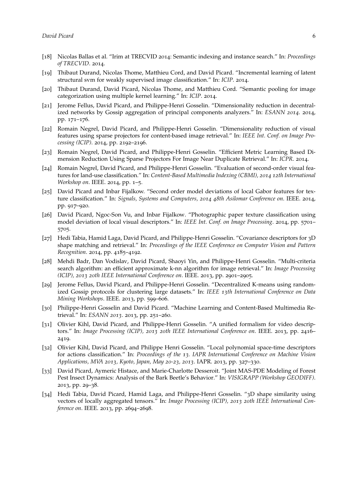- [18] Nicolas Ballas et al. "Irim at TRECVID 2014: Semantic indexing and instance search." In: *Proceedings of TRECVID*. 2014.
- [19] Thibaut Durand, Nicolas Thome, Matthieu Cord, and David Picard. "Incremental learning of latent structural svm for weakly supervised image classification." In: *ICIP*. 2014.
- [20] Thibaut Durand, David Picard, Nicolas Thome, and Matthieu Cord. "Semantic pooling for image categorization using multiple kernel learning." In: *ICIP*. 2014.
- [21] Jerome Fellus, David Picard, and Philippe-Henri Gosselin. "Dimensionality reduction in decentralized networks by Gossip aggregation of principal components analyzers." In: *ESANN 2014*. 2014, pp. 171–176.
- [22] Romain Negrel, David Picard, and Philippe-Henri Gosselin. "Dimensionality reduction of visual features using sparse projectors for content-based image retrieval." In: *IEEE Int. Conf. on Image Processing (ICIP)*. 2014, pp. 2192–2196.
- [23] Romain Negrel, David Picard, and Philippe-Henri Gosselin. "Efficient Metric Learning Based Dimension Reduction Using Sparse Projectors For Image Near Duplicate Retrieval." In: *ICPR*. 2014.
- [24] Romain Negrel, David Picard, and Philippe-Henri Gosselin. "Evaluation of second-order visual features for land-use classification." In: *Content-Based Multimedia Indexing (CBMI), 2014 12th International Workshop on*. IEEE. 2014, pp. 1–5.
- [25] David Picard and Inbar Fijalkow. "Second order model deviations of local Gabor features for texture classification." In: *Signals, Systems and Computers, 2014 48th Asilomar Conference on*. IEEE. 2014, pp. 917–920.
- [26] David Picard, Ngoc-Son Vu, and Inbar Fijalkow. "Photographic paper texture classification using model deviation of local visual descriptors." In: *IEEE Int. Conf. on Image Processing*. 2014, pp. 5701– 5705.
- [27] Hedi Tabia, Hamid Laga, David Picard, and Philippe-Henri Gosselin. "Covariance descriptors for 3D shape matching and retrieval." In: *Proceedings of the IEEE Conference on Computer Vision and Pattern Recognition*. 2014, pp. 4185–4192.
- [28] Mehdi Badr, Dan Vodislav, David Picard, Shaoyi Yin, and Philippe-Henri Gosselin. "Multi-criteria search algorithm: an efficient approximate k-nn algorithm for image retrieval." In: *Image Processing (ICIP), 2013 20th IEEE International Conference on*. IEEE. 2013, pp. 2901–2905.
- [29] Jerome Fellus, David Picard, and Philippe-Henri Gosselin. "Decentralized K-means using randomized Gossip protocols for clustering large datasets." In: *IEEE 13th International Conference on Data Mining Workshops*. IEEE. 2013, pp. 599–606.
- [30] Philippe-Henri Gosselin and David Picard. "Machine Learning and Content-Based Multimedia Retrieval." In: *ESANN 2013*. 2013, pp. 251–260.
- [31] Olivier Kihl, David Picard, and Philippe-Henri Gosselin. "A unified formalism for video descriptors." In: *Image Processing (ICIP), 2013 20th IEEE International Conference on*. IEEE. 2013, pp. 2416– 2419.
- [32] Olivier Kihl, David Picard, and Philippe Henri Gosselin. "Local polynomial space-time descriptors for actions classification." In: *Proceedings of the 13. IAPR International Conference on Machine Vision Applications, MVA 2013, Kyoto, Japan, May 20-23, 2013*. IAPR. 2013, pp. 327–330.
- [33] David Picard, Aymeric Histace, and Marie-Charlotte Desseroit. "Joint MAS-PDE Modeling of Forest Pest Insect Dynamics: Analysis of the Bark Beetle's Behavior." In: *VISIGRAPP (Workshop GEODIFF)*. 2013, pp. 29–38.
- [34] Hedi Tabia, David Picard, Hamid Laga, and Philippe-Henri Gosselin. "3D shape similarity using vectors of locally aggregated tensors." In: *Image Processing (ICIP), 2013 20th IEEE International Conference on*. IEEE. 2013, pp. 2694–2698.